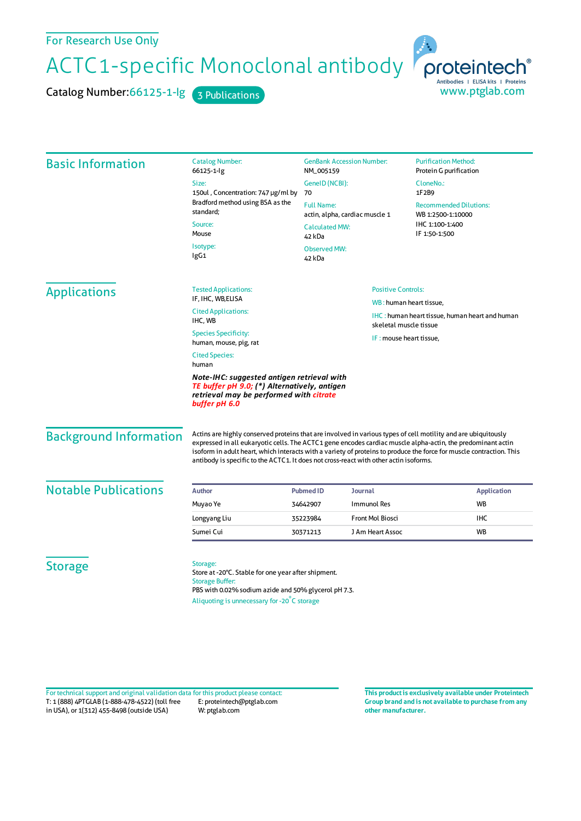## For Research Use Only

ACTC1-specific Monoclonal antibody

Catalog Number: 66125-1-lg 3 Publications



| <b>Basic Information</b>                                                                                                                                                                 | <b>Catalog Number:</b><br>66125-1-lg                                                                                        | <b>GenBank Accession Number:</b><br>NM_005159<br>GeneID (NCBI):<br>70                  |                                                                                                            | <b>Purification Method:</b><br>Protein G purification                                  |                                                                                                                                                                                                                                                                                                                                                                                                                                               |
|------------------------------------------------------------------------------------------------------------------------------------------------------------------------------------------|-----------------------------------------------------------------------------------------------------------------------------|----------------------------------------------------------------------------------------|------------------------------------------------------------------------------------------------------------|----------------------------------------------------------------------------------------|-----------------------------------------------------------------------------------------------------------------------------------------------------------------------------------------------------------------------------------------------------------------------------------------------------------------------------------------------------------------------------------------------------------------------------------------------|
|                                                                                                                                                                                          | Size:                                                                                                                       |                                                                                        |                                                                                                            | CloneNo.:<br>1F2B9                                                                     |                                                                                                                                                                                                                                                                                                                                                                                                                                               |
|                                                                                                                                                                                          | 150ul, Concentration: 747 µg/ml by<br>Bradford method using BSA as the<br>standard;<br>Source:<br>Mouse<br>Isotype:<br>IgG1 |                                                                                        |                                                                                                            |                                                                                        |                                                                                                                                                                                                                                                                                                                                                                                                                                               |
|                                                                                                                                                                                          |                                                                                                                             | <b>Full Name:</b><br>actin, alpha, cardiac muscle 1<br><b>Calculated MW:</b><br>42 kDa |                                                                                                            | <b>Recommended Dilutions:</b><br>WB 1:2500-1:10000<br>IHC 1:100-1:400<br>IF 1:50-1:500 |                                                                                                                                                                                                                                                                                                                                                                                                                                               |
|                                                                                                                                                                                          |                                                                                                                             |                                                                                        |                                                                                                            |                                                                                        | <b>Observed MW:</b><br>42 kDa                                                                                                                                                                                                                                                                                                                                                                                                                 |
|                                                                                                                                                                                          |                                                                                                                             | <b>Applications</b>                                                                    | <b>Tested Applications:</b>                                                                                |                                                                                        | <b>Positive Controls:</b>                                                                                                                                                                                                                                                                                                                                                                                                                     |
| IF, IHC, WB, ELISA                                                                                                                                                                       |                                                                                                                             |                                                                                        | WB: human heart tissue,<br><b>IHC:</b> human heart tissue, human heart and human<br>skeletal muscle tissue |                                                                                        |                                                                                                                                                                                                                                                                                                                                                                                                                                               |
| <b>Cited Applications:</b><br>IHC, WB                                                                                                                                                    |                                                                                                                             |                                                                                        |                                                                                                            |                                                                                        |                                                                                                                                                                                                                                                                                                                                                                                                                                               |
| <b>Species Specificity:</b><br>human, mouse, pig, rat                                                                                                                                    |                                                                                                                             |                                                                                        | IF: mouse heart tissue,                                                                                    |                                                                                        |                                                                                                                                                                                                                                                                                                                                                                                                                                               |
| <b>Cited Species:</b><br>human<br>Note-IHC: suggested antigen retrieval with<br>TE buffer pH 9.0; (*) Alternatively, antigen<br>retrieval may be performed with citrate<br>buffer pH 6.0 |                                                                                                                             |                                                                                        |                                                                                                            |                                                                                        |                                                                                                                                                                                                                                                                                                                                                                                                                                               |
|                                                                                                                                                                                          |                                                                                                                             |                                                                                        |                                                                                                            | <b>Background Information</b>                                                          | Actins are highly conserved proteins that are involved in various types of cell motility and are ubiquitously<br>expressed in all eukaryotic cells. The ACTC1 gene encodes cardiac muscle alpha-actin, the predominant actin<br>isoform in adult heart, which interacts with a variety of proteins to produce the force for muscle contraction. This<br>antibody is specific to the ACTC1. It does not cross-react with other actin isoforms. |
| <b>Notable Publications</b>                                                                                                                                                              | <b>Author</b>                                                                                                               | <b>Pubmed ID</b>                                                                       | Journal                                                                                                    | <b>Application</b>                                                                     |                                                                                                                                                                                                                                                                                                                                                                                                                                               |
|                                                                                                                                                                                          | Muyao Ye                                                                                                                    | 34642907                                                                               | Immunol Res                                                                                                | <b>WB</b>                                                                              |                                                                                                                                                                                                                                                                                                                                                                                                                                               |
|                                                                                                                                                                                          | Longyang Liu                                                                                                                | 35223984                                                                               | Front Mol Biosci                                                                                           | <b>IHC</b>                                                                             |                                                                                                                                                                                                                                                                                                                                                                                                                                               |
|                                                                                                                                                                                          | Sumei Cui                                                                                                                   | 30371213                                                                               | J Am Heart Assoc                                                                                           | <b>WB</b>                                                                              |                                                                                                                                                                                                                                                                                                                                                                                                                                               |
|                                                                                                                                                                                          |                                                                                                                             |                                                                                        |                                                                                                            |                                                                                        |                                                                                                                                                                                                                                                                                                                                                                                                                                               |

T: 1 (888) 4PTGLAB (1-888-478-4522) (toll free in USA), or 1(312) 455-8498 (outside USA) E: proteintech@ptglab.com W: ptglab.com Fortechnical support and original validation data forthis product please contact: **This productis exclusively available under Proteintech**

**Group brand and is not available to purchase from any other manufacturer.**